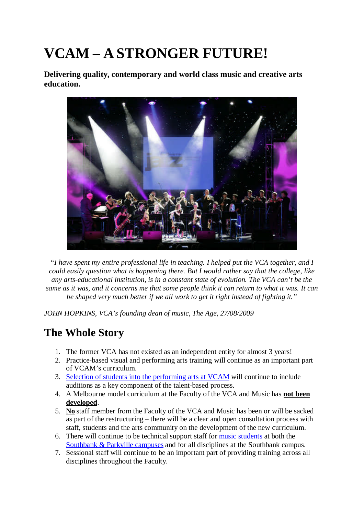# **VCAM – A STRONGER FUTURE!**

**Delivering quality, contemporary and world class music and creative arts education.**



*"I have spent my entire professional life in teaching. I helped put the VCA together, and I could easily question what is happening there. But I would rather say that the college, like any arts-educational institution, is in a constant state of evolution. The VCA can't be the same as it was, and it concerns me that some people think it can return to what it was. It can be shaped very much better if we all work to get it right instead of fighting it."*

*JOHN HOPKINS, VCA's founding dean of music, The Age, 27/08/2009*

## **The Whole Story**

- 1. The former VCA has not existed as an independent entity for almost 3 years!
- 2. Practice-based visual and performing arts training will continue as an important part of VCAM's curriculum.
- 3. Selection of students into the performing arts at VCAM will continue to include auditions as a key component of the talent-based process.
- 4. A Melbourne model curriculum at the Faculty of the VCA and Music has **not been developed**.
- 5. **No** staff member from the Faculty of the VCA and Music has been or will be sacked as part of the restructuring – there will be a clear and open consultation process with staff, students and the arts community on the development of the new curriculum.
- 6. There will continue to be technical support staff for music students at both the Southbank & Parkville campuses and for all disciplines at the Southbank campus.
- 7. Sessional staff will continue to be an important part of providing training across all disciplines throughout the Faculty.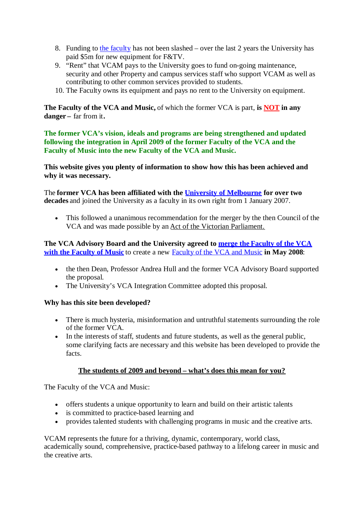- 8. Funding to the faculty has not been slashed over the last 2 years the University has paid \$5m for new equipment for F&TV.
- 9. "Rent" that VCAM pays to the University goes to fund on-going maintenance, security and other Property and campus services staff who support VCAM as well as contributing to other common services provided to students.
- 10. The Faculty owns its equipment and pays no rent to the University on equipment.

**The Faculty of the VCA and Music,** of which the former VCA is part, **is NOT in any danger –** far from it**.**

**The former VCA's vision, ideals and programs are being strengthened and updated following the integration in April 2009 of the former Faculty of the VCA and the Faculty of Music into the new Faculty of the VCA and Music.**

**This website gives you plenty of information to show how this has been achieved and why it was necessary.**

The **former VCA has been affiliated with the University of Melbourne for over two decades** and joined the University as a faculty in its own right from 1 January 2007.

 This followed a unanimous recommendation for the merger by the then Council of the VCA and was made possible by an Act of the Victorian Parliament.

**The VCA Advisory Board and the University agreed to merge the Faculty of the VCA with the Faculty of Music** to create a new Faculty of the VCA and Music **in May 2008**:

- the then Dean, Professor Andrea Hull and the former VCA Advisory Board supported the proposal.
- The University's VCA Integration Committee adopted this proposal.

#### **Why has this site been developed?**

- There is much hysteria, misinformation and untruthful statements surrounding the role of the former VCA.
- In the interests of staff, students and future students, as well as the general public, some clarifying facts are necessary and this website has been developed to provide the facts.

#### **The students of 2009 and beyond – what's does this mean for you?**

The Faculty of the VCA and Music:

- offers students a unique opportunity to learn and build on their artistic talents
- is committed to practice-based learning and
- provides talented students with challenging programs in music and the creative arts.

VCAM represents the future for a thriving, dynamic, contemporary, world class, academically sound, comprehensive, practice-based pathway to a lifelong career in music and the creative arts.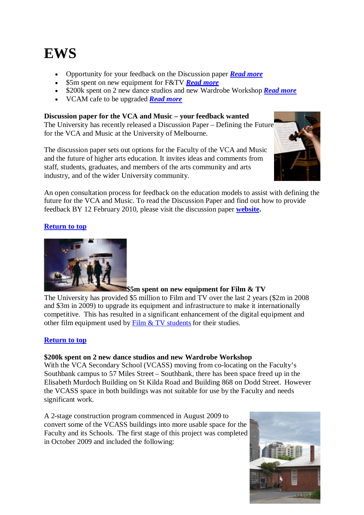## **EWS**

- Opportunity for your feedback on the Discussion paper *Read more*
- \$5m spent on new equipment for F&TV *Read more*
- \$200k spent on 2 new dance studios and new Wardrobe Workshop *Read more*
- VCAM cafe to be upgraded *Read more*

#### **Discussion paper for the VCA and Music – your feedback wanted**

The University has recently released a Discussion Paper – Defining the Future for the VCA and Music at the University of Melbourne.

The discussion paper sets out options for the Faculty of the VCA and Music and the future of higher arts education. It invites ideas and comments from staff, students, graduates, and members of the arts community and arts industry, and of the wider University community.



An open consultation process for feedback on the education models to assist with defining the future for the VCA and Music. To read the Discussion Paper and find out how to provide feedback BY 12 February 2010, please visit the discussion paper **website.**

#### **Return to top**



#### **\$5m spent on new equipment for Film & TV**

The University has provided \$5 million to Film and TV over the last 2 years (\$2m in 2008 and \$3m in 2009) to upgrade its equipment and infrastructure to make it internationally competitive. This has resulted in a significant enhancement of the digital equipment and other film equipment used by  $Film & TV students for their studies.$ </u>

#### **Return to top**

#### **\$200k spent on 2 new dance studios and new Wardrobe Workshop**

With the VCA Secondary School (VCASS) moving from co-locating on the Faculty's Southbank campus to 57 Miles Street – Southbank, there has been space freed up in the Elisabeth Murdoch Building on St Kilda Road and Building 868 on Dodd Street. However the VCASS space in both buildings was not suitable for use by the Faculty and needs significant work.

A 2-stage construction program commenced in August 2009 to convert some of the VCASS buildings into more usable space for the Faculty and its Schools. The first stage of this project was completed in October 2009 and included the following:

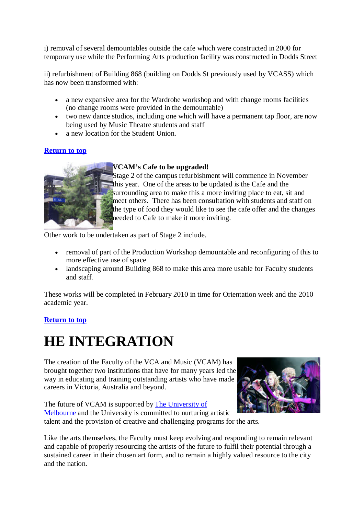i) removal of several demountables outside the cafe which were constructed in 2000 for temporary use while the Performing Arts production facility was constructed in Dodds Street

ii) refurbishment of Building 868 (building on Dodds St previously used by VCASS) which has now been transformed with:

- a new expansive area for the Wardrobe workshop and with change rooms facilities (no change rooms were provided in the demountable)
- two new dance studios, including one which will have a permanent tap floor, are now being used by Music Theatre students and staff
- a new location for the Student Union.

#### **Return to top**



#### **VCAM's Cafe to be upgraded!**

Stage 2 of the campus refurbishment will commence in November this year. One of the areas to be updated is the Cafe and the surrounding area to make this a more inviting place to eat, sit and meet others. There has been consultation with students and staff on the type of food they would like to see the cafe offer and the changes needed to Cafe to make it more inviting.

Other work to be undertaken as part of Stage 2 include.

- removal of part of the Production Workshop demountable and reconfiguring of this to more effective use of space
- landscaping around Building 868 to make this area more usable for Faculty students and staff.

These works will be completed in February 2010 in time for Orientation week and the 2010 academic year.

#### **Return to top**

## **HE INTEGRATION**

The creation of the Faculty of the VCA and Music (VCAM) has brought together two institutions that have for many years led the way in educating and training outstanding artists who have made careers in Victoria, Australia and beyond.

The future of VCAM is supported by The University of Melbourne and the University is committed to nurturing artistic talent and the provision of creative and challenging programs for the arts.



Like the arts themselves, the Faculty must keep evolving and responding to remain relevant and capable of properly resourcing the artists of the future to fulfil their potential through a sustained career in their chosen art form, and to remain a highly valued resource to the city and the nation.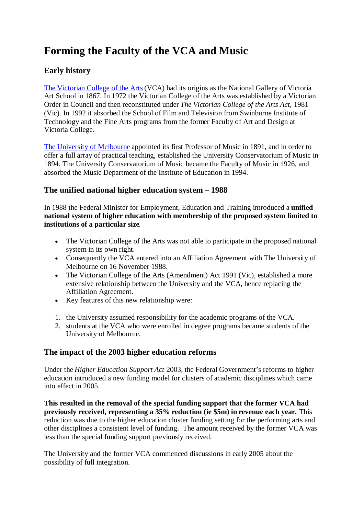## **Forming the Faculty of the VCA and Music**

#### **Early history**

The Victorian College of the Arts (VCA) had its origins as the National Gallery of Victoria Art School in 1867. In 1972 the Victorian College of the Arts was established by a Victorian Order in Council and then reconstituted under *The Victorian College of the Arts Act*, 1981 (Vic). In 1992 it absorbed the School of Film and Television from Swinburne Institute of Technology and the Fine Arts programs from the former Faculty of Art and Design at Victoria College.

The University of Melbourne appointed its first Professor of Music in 1891, and in order to offer a full array of practical teaching, established the University Conservatorium of Music in 1894. The University Conservatorium of Music became the Faculty of Music in 1926, and absorbed the Music Department of the Institute of Education in 1994.

#### **The unified national higher education system – 1988**

In 1988 the Federal Minister for Employment, Education and Training introduced a **unified national system of higher education with membership of the proposed system limited to institutions of a particular size**.

- The Victorian College of the Arts was not able to participate in the proposed national system in its own right.
- Consequently the VCA entered into an Affiliation Agreement with The University of Melbourne on 16 November 1988.
- The Victorian College of the Arts (Amendment) Act 1991 (Vic), established a more extensive relationship between the University and the VCA, hence replacing the Affiliation Agreement.
- Key features of this new relationship were:
- 1. the University assumed responsibility for the academic programs of the VCA.
- 2. students at the VCA who were enrolled in degree programs became students of the University of Melbourne.

#### **The impact of the 2003 higher education reforms**

Under the *Higher Education Support Act* 2003, the Federal Government's reforms to higher education introduced a new funding model for clusters of academic disciplines which came into effect in 2005.

**This resulted in the removal of the special funding support that the former VCA had previously received, representing a 35% reduction (ie \$5m) in revenue each year.** This reduction was due to the higher education cluster funding setting for the performing arts and other disciplines a consistent level of funding. The amount received by the former VCA was less than the special funding support previously received.

The University and the former VCA commenced discussions in early 2005 about the possibility of full integration.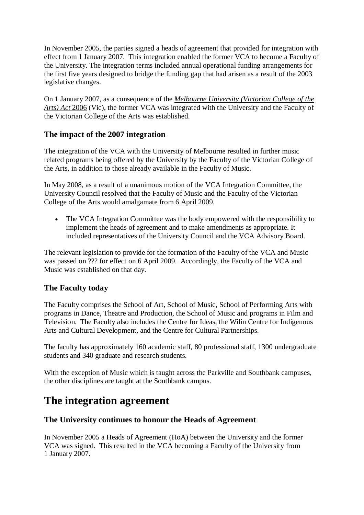In November 2005, the parties signed a heads of agreement that provided for integration with effect from 1 January 2007. This integration enabled the former VCA to become a Faculty of the University. The integration terms included annual operational funding arrangements for the first five years designed to bridge the funding gap that had arisen as a result of the 2003 legislative changes.

On 1 January 2007, as a consequence of the *Melbourne University (Victorian College of the Arts) Act* 2006 (Vic), the former VCA was integrated with the University and the Faculty of the Victorian College of the Arts was established.

#### **The impact of the 2007 integration**

The integration of the VCA with the University of Melbourne resulted in further music related programs being offered by the University by the Faculty of the Victorian College of the Arts, in addition to those already available in the Faculty of Music.

In May 2008, as a result of a unanimous motion of the VCA Integration Committee, the University Council resolved that the Faculty of Music and the Faculty of the Victorian College of the Arts would amalgamate from 6 April 2009.

 The VCA Integration Committee was the body empowered with the responsibility to implement the heads of agreement and to make amendments as appropriate. It included representatives of the University Council and the VCA Advisory Board.

The relevant legislation to provide for the formation of the Faculty of the VCA and Music was passed on ??? for effect on 6 April 2009. Accordingly, the Faculty of the VCA and Music was established on that day.

#### **The Faculty today**

The Faculty comprises the School of Art, School of Music, School of Performing Arts with programs in Dance, Theatre and Production, the School of Music and programs in Film and Television. The Faculty also includes the Centre for Ideas, the Wilin Centre for Indigenous Arts and Cultural Development, and the Centre for Cultural Partnerships.

The faculty has approximately 160 academic staff, 80 professional staff, 1300 undergraduate students and 340 graduate and research students.

With the exception of Music which is taught across the Parkville and Southbank campuses, the other disciplines are taught at the Southbank campus.

### **The integration agreement**

#### **The University continues to honour the Heads of Agreement**

In November 2005 a Heads of Agreement (HoA) between the University and the former VCA was signed. This resulted in the VCA becoming a Faculty of the University from 1 January 2007.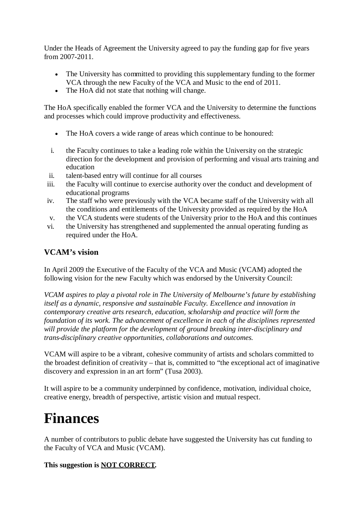Under the Heads of Agreement the University agreed to pay the funding gap for five years from 2007-2011.

- The University has committed to providing this supplementary funding to the former VCA through the new Faculty of the VCA and Music to the end of 2011.
- The HoA did not state that nothing will change.

The HoA specifically enabled the former VCA and the University to determine the functions and processes which could improve productivity and effectiveness.

- The HoA covers a wide range of areas which continue to be honoured:
- i. the Faculty continues to take a leading role within the University on the strategic direction for the development and provision of performing and visual arts training and education
- ii. talent-based entry will continue for all courses
- iii. the Faculty will continue to exercise authority over the conduct and development of educational programs
- iv. The staff who were previously with the VCA became staff of the University with all the conditions and entitlements of the University provided as required by the HoA
- v. the VCA students were students of the University prior to the HoA and this continues
- vi. the University has strengthened and supplemented the annual operating funding as required under the HoA.

#### **VCAM's vision**

In April 2009 the Executive of the Faculty of the VCA and Music (VCAM) adopted the following vision for the new Faculty which was endorsed by the University Council:

*VCAM aspires to play a pivotal role in The University of Melbourne's future by establishing itself as a dynamic, responsive and sustainable Faculty. Excellence and innovation in contemporary creative arts research, education, scholarship and practice will form the foundation of its work. The advancement of excellence in each of the disciplines represented will provide the platform for the development of ground breaking inter-disciplinary and trans-disciplinary creative opportunities, collaborations and outcomes.*

VCAM will aspire to be a vibrant, cohesive community of artists and scholars committed to the broadest definition of creativity – that is, committed to "the exceptional act of imaginative discovery and expression in an art form" (Tusa 2003).

It will aspire to be a community underpinned by confidence, motivation, individual choice, creative energy, breadth of perspective, artistic vision and mutual respect.

## **Finances**

A number of contributors to public debate have suggested the University has cut funding to the Faculty of VCA and Music (VCAM).

#### **This suggestion is NOT CORRECT.**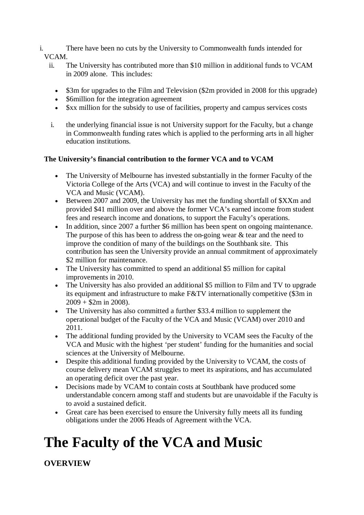- i. There have been no cuts by the University to Commonwealth funds intended for VCAM.
	- ii. The University has contributed more than \$10 million in additional funds to VCAM in 2009 alone. This includes:
		- \$3m for upgrades to the Film and Television (\$2m provided in 2008 for this upgrade)
		- Somillion for the integration agreement
		- Sxx million for the subsidy to use of facilities, property and campus services costs
	- i. the underlying financial issue is not University support for the Faculty, but a change in Commonwealth funding rates which is applied to the performing arts in all higher education institutions.

#### **The University's financial contribution to the former VCA and to VCAM**

- The University of Melbourne has invested substantially in the former Faculty of the Victoria College of the Arts (VCA) and will continue to invest in the Faculty of the VCA and Music (VCAM).
- Between 2007 and 2009, the University has met the funding shortfall of \$XXm and provided \$41 million over and above the former VCA's earned income from student fees and research income and donations, to support the Faculty's operations.
- In addition, since 2007 a further \$6 million has been spent on ongoing maintenance. The purpose of this has been to address the on-going wear & tear and the need to improve the condition of many of the buildings on the Southbank site. This contribution has seen the University provide an annual commitment of approximately \$2 million for maintenance.
- The University has committed to spend an additional \$5 million for capital improvements in 2010.
- The University has also provided an additional \$5 million to Film and TV to upgrade its equipment and infrastructure to make F&TV internationally competitive (\$3m in  $2009 + $2m$  in 2008).
- The University has also committed a further \$33.4 million to supplement the operational budget of the Faculty of the VCA and Music (VCAM) over 2010 and 2011.
- The additional funding provided by the University to VCAM sees the Faculty of the VCA and Music with the highest 'per student' funding for the humanities and social sciences at the University of Melbourne.
- Despite this additional funding provided by the University to VCAM, the costs of course delivery mean VCAM struggles to meet its aspirations, and has accumulated an operating deficit over the past year.
- Decisions made by VCAM to contain costs at Southbank have produced some understandable concern among staff and students but are unavoidable if the Faculty is to avoid a sustained deficit.
- Great care has been exercised to ensure the University fully meets all its funding obligations under the 2006 Heads of Agreement with the VCA.

## **The Faculty of the VCA and Music**

**OVERVIEW**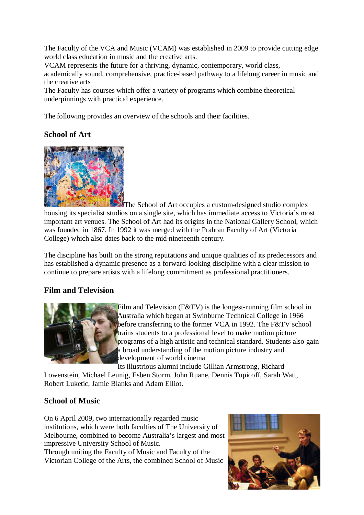The Faculty of the VCA and Music (VCAM) was established in 2009 to provide cutting edge world class education in music and the creative arts.

VCAM represents the future for a thriving, dynamic, contemporary, world class,

academically sound, comprehensive, practice-based pathway to a lifelong career in music and the creative arts

The Faculty has courses which offer a variety of programs which combine theoretical underpinnings with practical experience.

The following provides an overview of the schools and their facilities.

### **School of Art**



The School of Art occupies a custom-designed studio complex housing its specialist studios on a single site, which has immediate access to Victoria's most important art venues. The School of Art had its origins in the National Gallery School, which was founded in 1867. In 1992 it was merged with the Prahran Faculty of Art (Victoria College) which also dates back to the mid-nineteenth century.

The discipline has built on the strong reputations and unique qualities of its predecessors and has established a dynamic presence as a forward-looking discipline with a clear mission to continue to prepare artists with a lifelong commitment as professional practitioners.

#### **Film and Television**



Film and Television (F&TV) is the longest-running film school in Australia which began at Swinburne Technical College in 1966 before transferring to the former VCA in 1992. The F&TV school trains students to a professional level to make motion picture programs of a high artistic and technical standard. Students also gain a broad understanding of the motion picture industry and development of world cinema

Its illustrious alumni include Gillian Armstrong, Richard

Lowenstein, Michael Leunig, Esben Storm, John Ruane, Dennis Tupicoff, Sarah Watt, Robert Luketic, Jamie Blanks and Adam Elliot.

#### **School of Music**

On 6 April 2009, two internationally regarded music institutions, which were both faculties of The University of Melbourne, combined to become Australia's largest and most impressive University School of Music.

Through uniting the Faculty of Music and Faculty of the Victorian College of the Arts, the combined School of Music

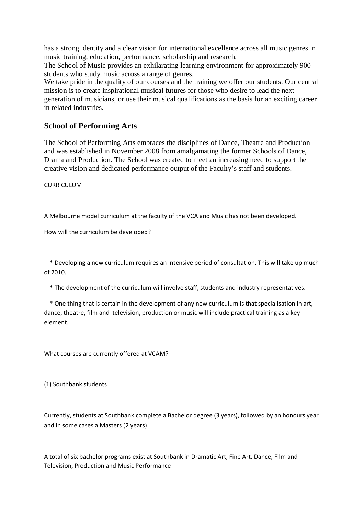has a strong identity and a clear vision for international excellence across all music genres in music training, education, performance, scholarship and research.

The School of Music provides an exhilarating learning environment for approximately 900 students who study music across a range of genres.

We take pride in the quality of our courses and the training we offer our students. Our central mission is to create inspirational musical futures for those who desire to lead the next generation of musicians, or use their musical qualifications as the basis for an exciting career in related industries.

#### **School of Performing Arts**

The School of Performing Arts embraces the disciplines of Dance, Theatre and Production and was established in November 2008 from amalgamating the former Schools of Dance, Drama and Production. The School was created to meet an increasing need to support the creative vision and dedicated performance output of the Faculty's staff and students.

CURRICULUM

A Melbourne model curriculum at the faculty of the VCA and Music has not been developed.

How will the curriculum be developed?

\* Developing a new curriculum requires an intensive period of consultation. This will take up much of 2010.

\* The development of the curriculum will involve staff, students and industry representatives.

\* One thing that is certain in the development of any new curriculum is that specialisation in art, dance, theatre, film and television, production or music will include practical training as a key element.

What courses are currently offered at VCAM?

(1) Southbank students

Currently, students at Southbank complete a Bachelor degree (3 years), followed by an honours year and in some cases a Masters (2 years).

A total of six bachelor programs exist at Southbank in Dramatic Art, Fine Art, Dance, Film and Television, Production and Music Performance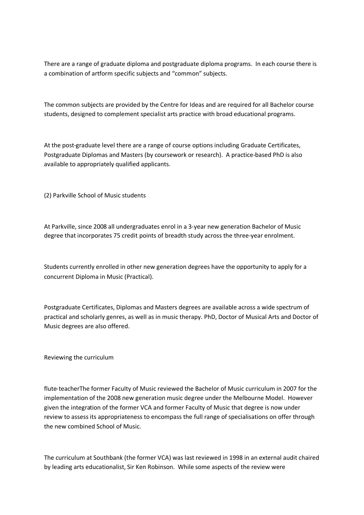There are a range of graduate diploma and postgraduate diploma programs. In each course there is a combination of artform specific subjects and "common" subjects.

The common subjects are provided by the Centre for Ideas and are required for all Bachelor course students, designed to complement specialist arts practice with broad educational programs.

At the post-graduate level there are a range of course options including Graduate Certificates, Postgraduate Diplomas and Masters (by coursework or research). A practice-based PhD is also available to appropriately qualified applicants.

(2) Parkville School of Music students

At Parkville, since 2008 all undergraduates enrol in a 3-year new generation Bachelor of Music degree that incorporates 75 credit points of breadth study across the three-year enrolment.

Students currently enrolled in other new generation degrees have the opportunity to apply for a concurrent Diploma in Music (Practical).

Postgraduate Certificates, Diplomas and Masters degrees are available across a wide spectrum of practical and scholarly genres, as well as in music therapy. PhD, Doctor of Musical Arts and Doctor of Music degrees are also offered.

Reviewing the curriculum

flute-teacherThe former Faculty of Music reviewed the Bachelor of Music curriculum in 2007 for the implementation of the 2008 new generation music degree under the Melbourne Model. However given the integration of the former VCA and former Faculty of Music that degree is now under review to assess its appropriateness to encompass the full range of specialisations on offer through the new combined School of Music.

The curriculum at Southbank (the former VCA) was last reviewed in 1998 in an external audit chaired by leading arts educationalist, Sir Ken Robinson. While some aspects of the review were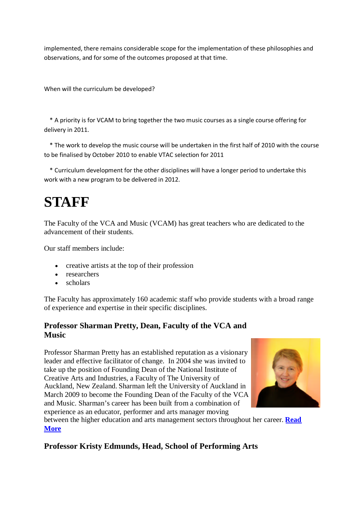implemented, there remains considerable scope for the implementation of these philosophies and observations, and for some of the outcomes proposed at that time.

When will the curriculum be developed?

\* A priority is for VCAM to bring together the two music courses as a single course offering for delivery in 2011.

\* The work to develop the music course will be undertaken in the first half of 2010 with the course to be finalised by October 2010 to enable VTAC selection for 2011

\* Curriculum development for the other disciplines will have a longer period to undertake this work with a new program to be delivered in 2012.

## **STAFF**

The Faculty of the VCA and Music (VCAM) has great teachers who are dedicated to the advancement of their students.

Our staff members include:

- creative artists at the top of their profession
- researchers
- scholars

The Faculty has approximately 160 academic staff who provide students with a broad range of experience and expertise in their specific disciplines.

#### **Professor Sharman Pretty, Dean, Faculty of the VCA and Music**

Professor Sharman Pretty has an established reputation as a visionary leader and effective facilitator of change. In 2004 she was invited to take up the position of Founding Dean of the National Institute of Creative Arts and Industries, a Faculty of The University of Auckland, New Zealand. Sharman left the University of Auckland in March 2009 to become the Founding Dean of the Faculty of the VCA and Music. Sharman's career has been built from a combination of experience as an educator, performer and arts manager moving



between the higher education and arts management sectors throughout her career. **Read More**

#### **Professor Kristy Edmunds, Head, School of Performing Arts**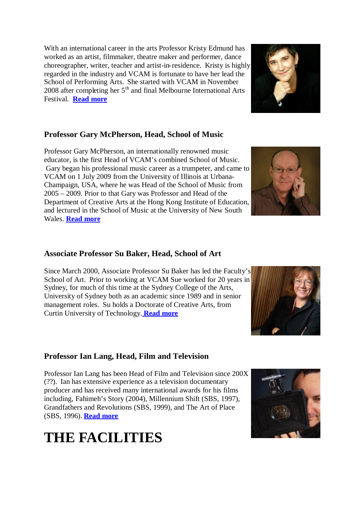With an international career in the arts Professor Kristy Edmund has worked as an artist, filmmaker, theatre maker and performer, dance choreographer, writer, teacher and artist-in-residence. Kristy is highly regarded in the industry and VCAM is fortunate to have her lead the School of Performing Arts. She started with VCAM in November 2008 after completing her  $5<sup>th</sup>$  and final Melbourne International Arts Festival. **Read more**

### **Professor Gary McPherson, Head, School of Music**

Professor Gary McPherson, an internationally renowned music educator, is the first Head of VCAM's combined School of Music. Gary began his professional music career as a trumpeter, and came to VCAM on 1 July 2009 from the University of Illinois at Urbana-Champaign, USA, where he was Head of the School of Music from 2005 – 2009. Prior to that Gary was Professor and Head of the Department of Creative Arts at the Hong Kong Institute of Education, and lectured in the School of Music at the University of New South Wales. **Read more**

#### **Associate Professor Su Baker, Head, School of Art**

Since March 2000, Associate Professor Su Baker has led the Faculty's School of Art. Prior to working at VCAM Sue worked for 20 years in Sydney, for much of this time at the Sydney College of the Arts, University of Sydney both as an academic since 1989 and in senior management roles. Su holds a Doctorate of Creative Arts, from Curtin University of Technology. **Read more**

#### **Professor Ian Lang, Head, Film and Television**

Professor Ian Lang has been Head of Film and Television since 200X (??). Ian has extensive experience as a television documentary producer and has received many international awards for his films including, Fahimeh's Story (2004), Millennium Shift (SBS, 1997), Grandfathers and Revolutions (SBS, 1999), and The Art of Place (SBS, 1996). **Read more**

## **THE FACILITIES**







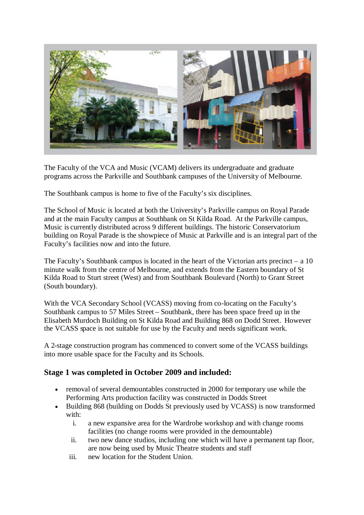

The Faculty of the VCA and Music (VCAM) delivers its undergraduate and graduate programs across the Parkville and Southbank campuses of the University of Melbourne.

The Southbank campus is home to five of the Faculty's six disciplines.

The School of Music is located at both the University's Parkville campus on Royal Parade and at the main Faculty campus at Southbank on St Kilda Road. At the Parkville campus, Music is currently distributed across 9 different buildings. The historic Conservatorium building on Royal Parade is the showpiece of Music at Parkville and is an integral part of the Faculty's facilities now and into the future.

The Faculty's Southbank campus is located in the heart of the Victorian arts precinct – a 10 minute walk from the centre of Melbourne, and extends from the Eastern boundary of St Kilda Road to Sturt street (West) and from Southbank Boulevard (North) to Grant Street (South boundary).

With the VCA Secondary School (VCASS) moving from co-locating on the Faculty's Southbank campus to 57 Miles Street – Southbank, there has been space freed up in the Elisabeth Murdoch Building on St Kilda Road and Building 868 on Dodd Street. However the VCASS space is not suitable for use by the Faculty and needs significant work.

A 2-stage construction program has commenced to convert some of the VCASS buildings into more usable space for the Faculty and its Schools.

#### **Stage 1 was completed in October 2009 and included:**

- removal of several demountables constructed in 2000 for temporary use while the Performing Arts production facility was constructed in Dodds Street
- Building 868 (building on Dodds St previously used by VCASS) is now transformed with:
	- i. a new expansive area for the Wardrobe workshop and with change rooms facilities (no change rooms were provided in the demountable)
	- ii. two new dance studios, including one which will have a permanent tap floor, are now being used by Music Theatre students and staff
	- iii. new location for the Student Union.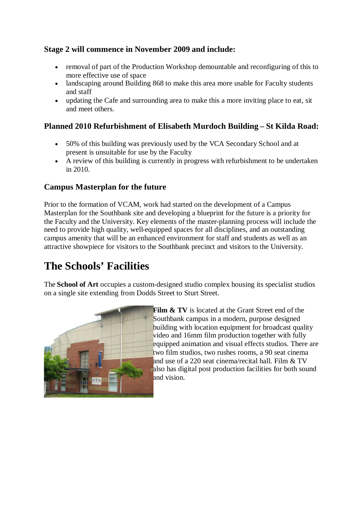#### **Stage 2 will commence in November 2009 and include:**

- removal of part of the Production Workshop demountable and reconfiguring of this to more effective use of space
- landscaping around Building 868 to make this area more usable for Faculty students and staff
- updating the Cafe and surrounding area to make this a more inviting place to eat, sit and meet others.

#### **Planned 2010 Refurbishment of Elisabeth Murdoch Building – St Kilda Road:**

- 50% of this building was previously used by the VCA Secondary School and at present is unsuitable for use by the Faculty
- A review of this building is currently in progress with refurbishment to be undertaken in 2010.

#### **Campus Masterplan for the future**

Prior to the formation of VCAM, work had started on the development of a Campus Masterplan for the Southbank site and developing a blueprint for the future is a priority for the Faculty and the University. Key elements of the master-planning process will include the need to provide high quality, well-equipped spaces for all disciplines, and an outstanding campus amenity that will be an enhanced environment for staff and students as well as an attractive showpiece for visitors to the Southbank precinct and visitors to the University.

## **The Schools' Facilities**

The **School of Art** occupies a custom-designed studio complex housing its specialist studios on a single site extending from Dodds Street to Sturt Street.



**Film & TV** is located at the Grant Street end of the Southbank campus in a modern, purpose designed building with location equipment for broadcast quality video and 16mm film production together with fully equipped animation and visual effects studios. There are two film studios, two rushes rooms, a 90 seat cinema and use of a 220 seat cinema/recital hall. Film & TV also has digital post production facilities for both sound and vision.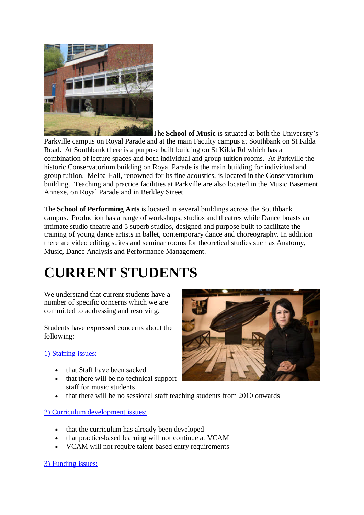

The **School of Music** is situated at both the University's Parkville campus on Royal Parade and at the main Faculty campus at Southbank on St Kilda Road. At Southbank there is a purpose built building on St Kilda Rd which has a combination of lecture spaces and both individual and group tuition rooms. At Parkville the historic Conservatorium building on Royal Parade is the main building for individual and group tuition. Melba Hall, renowned for its fine acoustics, is located in the Conservatorium building. Teaching and practice facilities at Parkville are also located in the Music Basement Annexe, on Royal Parade and in Berkley Street.

The **School of Performing Arts** is located in several buildings across the Southbank campus. Production has a range of workshops, studios and theatres while Dance boasts an intimate studio-theatre and 5 superb studios, designed and purpose built to facilitate the training of young dance artists in ballet, contemporary dance and choreography. In addition there are video editing suites and seminar rooms for theoretical studies such as Anatomy, Music, Dance Analysis and Performance Management.

## **CURRENT STUDENTS**

We understand that current students have a number of specific concerns which we are committed to addressing and resolving.

Students have expressed concerns about the following:

#### 1) Staffing issues:

- that Staff have been sacked
- that there will be no technical support staff for music students
- that there will be no sessional staff teaching students from 2010 onwards

#### 2) Curriculum development issues:

- that the curriculum has already been developed
- that practice-based learning will not continue at VCAM
- VCAM will not require talent-based entry requirements

3) Funding issues:

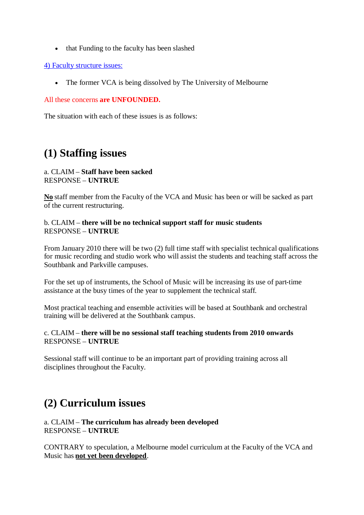• that Funding to the faculty has been slashed

#### 4) Faculty structure issues:

• The former VCA is being dissolved by The University of Melbourne

#### All these concerns **are UNFOUNDED.**

The situation with each of these issues is as follows:

## **(1) Staffing issues**

#### a. CLAIM – **Staff have been sacked** RESPONSE – **UNTRUE**

**No** staff member from the Faculty of the VCA and Music has been or will be sacked as part of the current restructuring.

#### b. CLAIM – **there will be no technical support staff for music students** RESPONSE – **UNTRUE**

From January 2010 there will be two (2) full time staff with specialist technical qualifications for music recording and studio work who will assist the students and teaching staff across the Southbank and Parkville campuses.

For the set up of instruments, the School of Music will be increasing its use of part-time assistance at the busy times of the year to supplement the technical staff.

Most practical teaching and ensemble activities will be based at Southbank and orchestral training will be delivered at the Southbank campus.

#### c. CLAIM – **there will be no sessional staff teaching students from 2010 onwards** RESPONSE – **UNTRUE**

Sessional staff will continue to be an important part of providing training across all disciplines throughout the Faculty.

### **(2) Curriculum issues**

#### a. CLAIM – **The curriculum has already been developed** RESPONSE – **UNTRUE**

CONTRARY to speculation, a Melbourne model curriculum at the Faculty of the VCA and Music has **not yet been developed**.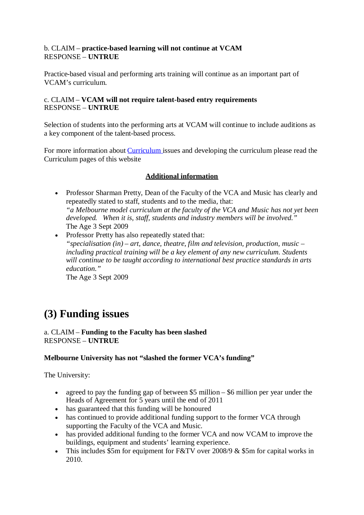#### b. CLAIM – **practice-based learning will not continue at VCAM** RESPONSE – **UNTRUE**

Practice-based visual and performing arts training will continue as an important part of VCAM's curriculum.

#### c. CLAIM – **VCAM will not require talent-based entry requirements** RESPONSE – **UNTRUE**

Selection of students into the performing arts at VCAM will continue to include auditions as a key component of the talent-based process.

For more information about Curriculum issues and developing the curriculum please read the Curriculum pages of this website

#### **Additional information**

• Professor Sharman Pretty, Dean of the Faculty of the VCA and Music has clearly and repeatedly stated to staff, students and to the media, that: *"a Melbourne model curriculum at the faculty of the VCA and Music has not yet been developed. When it is, staff, students and industry members will be involved."* The Age 3 Sept 2009

• Professor Pretty has also repeatedly stated that: *"specialisation (in) – art, dance, theatre, film and television, production, music – including practical training will be a key element of any new curriculum. Students will continue to be taught according to international best practice standards in arts education."* The Age 3 Sept 2009

**(3) Funding issues**

## a. CLAIM – **Funding to the Faculty has been slashed**

#### RESPONSE – **UNTRUE**

#### **Melbourne University has not "slashed the former VCA's funding"**

The University:

- agreed to pay the funding gap of between \$5 million \$6 million per year under the Heads of Agreement for 5 years until the end of 2011
- has guaranteed that this funding will be honoured
- has continued to provide additional funding support to the former VCA through supporting the Faculty of the VCA and Music.
- has provided additional funding to the former VCA and now VCAM to improve the buildings, equipment and students' learning experience.
- This includes \$5m for equipment for F&TV over 2008/9 & \$5m for capital works in 2010.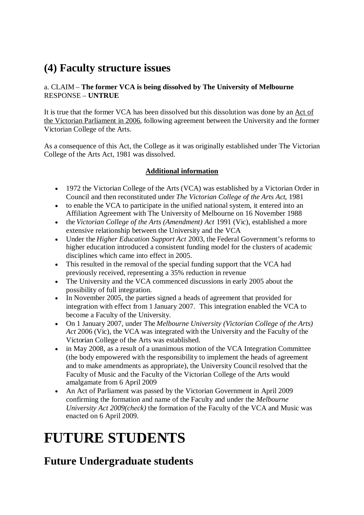## **(4) Faculty structure issues**

#### a. CLAIM – **The former VCA is being dissolved by The University of Melbourne** RESPONSE – **UNTRUE**

It is true that the former VCA has been dissolved but this dissolution was done by an Act of the Victorian Parliament in 2006, following agreement between the University and the former Victorian College of the Arts.

As a consequence of this Act, the College as it was originally established under The Victorian College of the Arts Act, 1981 was dissolved.

#### **Additional information**

- 1972 the Victorian College of the Arts (VCA) was established by a Victorian Order in Council and then reconstituted under *The Victorian College of the Arts Act*, 1981
- to enable the VCA to participate in the unified national system, it entered into an Affiliation Agreement with The University of Melbourne on 16 November 1988
- the *Victorian College of the Arts (Amendment) Act* 1991 (Vic), established a more extensive relationship between the University and the VCA
- Under the *Higher Education Support Act* 2003, the Federal Government's reforms to higher education introduced a consistent funding model for the clusters of academic disciplines which came into effect in 2005.
- This resulted in the removal of the special funding support that the VCA had previously received, representing a 35% reduction in revenue
- The University and the VCA commenced discussions in early 2005 about the possibility of full integration.
- In November 2005, the parties signed a heads of agreement that provided for integration with effect from 1 January 2007. This integration enabled the VCA to become a Faculty of the University.
- On 1 January 2007, under The *Melbourne University (Victorian College of the Arts) Act* 2006 (Vic), the VCA was integrated with the University and the Faculty of the Victorian College of the Arts was established.
- in May 2008, as a result of a unanimous motion of the VCA Integration Committee (the body empowered with the responsibility to implement the heads of agreement and to make amendments as appropriate), the University Council resolved that the Faculty of Music and the Faculty of the Victorian College of the Arts would amalgamate from 6 April 2009
- An Act of Parliament was passed by the Victorian Government in April 2009 confirming the formation and name of the Faculty and under the *Melbourne University Act 2009(check)* the formation of the Faculty of the VCA and Music was enacted on 6 April 2009.

## **FUTURE STUDENTS**

### **Future Undergraduate students**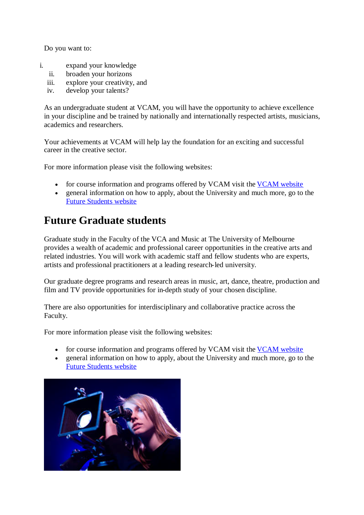Do you want to:

- i. expand your knowledge
	- ii. broaden your horizons
	- iii. explore your creativity, and
	- iv. develop your talents?

As an undergraduate student at VCAM, you will have the opportunity to achieve excellence in your discipline and be trained by nationally and internationally respected artists, musicians, academics and researchers.

Your achievements at VCAM will help lay the foundation for an exciting and successful career in the creative sector.

For more information please visit the following websites:

- for course information and programs offered by VCAM visit the VCAM website
- general information on how to apply, about the University and much more, go to the Future Students website

## **Future Graduate students**

Graduate study in the Faculty of the VCA and Music at The University of Melbourne provides a wealth of academic and professional career opportunities in the creative arts and related industries. You will work with academic staff and fellow students who are experts, artists and professional practitioners at a leading research-led university.

Our graduate degree programs and research areas in music, art, dance, theatre, production and film and TV provide opportunities for in-depth study of your chosen discipline.

There are also opportunities for interdisciplinary and collaborative practice across the Faculty.

For more information please visit the following websites:

- for course information and programs offered by VCAM visit the VCAM website
- general information on how to apply, about the University and much more, go to the Future Students website

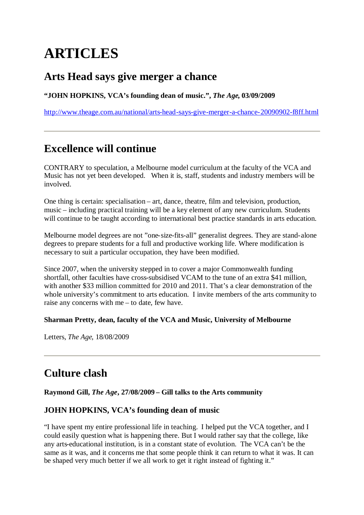## **ARTICLES**

### **Arts Head says give merger a chance**

**"JOHN HOPKINS, VCA's founding dean of music.",** *The Age***, 03/09/2009**

http://www.theage.com.au/national/arts-head-says-give-merger-a-chance-20090902-f8ff.html

## **Excellence will continue**

CONTRARY to speculation, a Melbourne model curriculum at the faculty of the VCA and Music has not yet been developed. When it is, staff, students and industry members will be involved.

One thing is certain: specialisation – art, dance, theatre, film and television, production, music – including practical training will be a key element of any new curriculum. Students will continue to be taught according to international best practice standards in arts education.

Melbourne model degrees are not "one-size-fits-all" generalist degrees. They are stand-alone degrees to prepare students for a full and productive working life. Where modification is necessary to suit a particular occupation, they have been modified.

Since 2007, when the university stepped in to cover a major Commonwealth funding shortfall, other faculties have cross-subsidised VCAM to the tune of an extra \$41 million, with another \$33 million committed for 2010 and 2011. That's a clear demonstration of the whole university's commitment to arts education. I invite members of the arts community to raise any concerns with me – to date, few have.

#### **Sharman Pretty, dean, faculty of the VCA and Music, University of Melbourne**

Letters, *The Age*, 18/08/2009

## **Culture clash**

**Raymond Gill,** *The Age***, 27/08/2009 – Gill talks to the Arts community**

#### **JOHN HOPKINS, VCA's founding dean of music**

"I have spent my entire professional life in teaching. I helped put the VCA together, and I could easily question what is happening there. But I would rather say that the college, like any arts-educational institution, is in a constant state of evolution. The VCA can't be the same as it was, and it concerns me that some people think it can return to what it was. It can be shaped very much better if we all work to get it right instead of fighting it."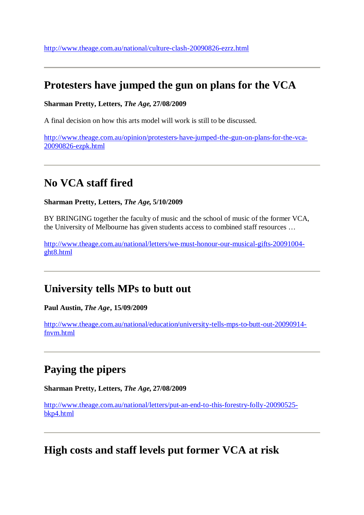### **Protesters have jumped the gun on plans for the VCA**

#### **Sharman Pretty, Letters,** *The Age***, 27/08/2009**

A final decision on how this arts model will work is still to be discussed.

http://www.theage.com.au/opinion/protesters-have-jumped-the-gun-on-plans-for-the-vca-20090826-ezpk.html

### **No VCA staff fired**

#### **Sharman Pretty, Letters,** *The Age***, 5/10/2009**

BY BRINGING together the faculty of music and the school of music of the former VCA, the University of Melbourne has given students access to combined staff resources …

http://www.theage.com.au/national/letters/we-must-honour-our-musical-gifts-20091004 ght8.html

### **University tells MPs to butt out**

**Paul Austin,** *The Age***, 15/09/2009**

http://www.theage.com.au/national/education/university-tells-mps-to-butt-out-20090914 fnvm.html

## **Paying the pipers**

**Sharman Pretty, Letters,** *The Age,* **27/08/2009**

http://www.theage.com.au/national/letters/put-an-end-to-this-forestry-folly-20090525 bkp4.html

### **High costs and staff levels put former VCA at risk**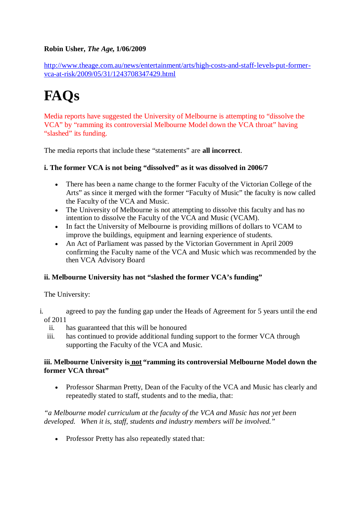#### **Robin Usher,** *The Age***, 1/06/2009**

http://www.theage.com.au/news/entertainment/arts/high-costs-and-staff-levels-put-formervca-at-risk/2009/05/31/1243708347429.html

## **FAQs**

Media reports have suggested the University of Melbourne is attempting to "dissolve the VCA" by "ramming its controversial Melbourne Model down the VCA throat" having "slashed" its funding.

The media reports that include these "statements" are **all incorrect**.

#### **i. The former VCA is not being "dissolved" as it was dissolved in 2006/7**

- There has been a name change to the former Faculty of the Victorian College of the Arts" as since it merged with the former "Faculty of Music" the faculty is now called the Faculty of the VCA and Music.
- The University of Melbourne is not attempting to dissolve this faculty and has no intention to dissolve the Faculty of the VCA and Music (VCAM).
- In fact the University of Melbourne is providing millions of dollars to VCAM to improve the buildings, equipment and learning experience of students.
- An Act of Parliament was passed by the Victorian Government in April 2009 confirming the Faculty name of the VCA and Music which was recommended by the then VCA Advisory Board

#### **ii. Melbourne University has not "slashed the former VCA's funding"**

The University:

- i. agreed to pay the funding gap under the Heads of Agreement for 5 years until the end of 2011
	- ii. has guaranteed that this will be honoured
	- iii. has continued to provide additional funding support to the former VCA through supporting the Faculty of the VCA and Music.

#### **iii. Melbourne University is not "ramming its controversial Melbourne Model down the former VCA throat"**

• Professor Sharman Pretty, Dean of the Faculty of the VCA and Music has clearly and repeatedly stated to staff, students and to the media, that:

*"a Melbourne model curriculum at the faculty of the VCA and Music has not yet been developed. When it is, staff, students and industry members will be involved."*

• Professor Pretty has also repeatedly stated that: